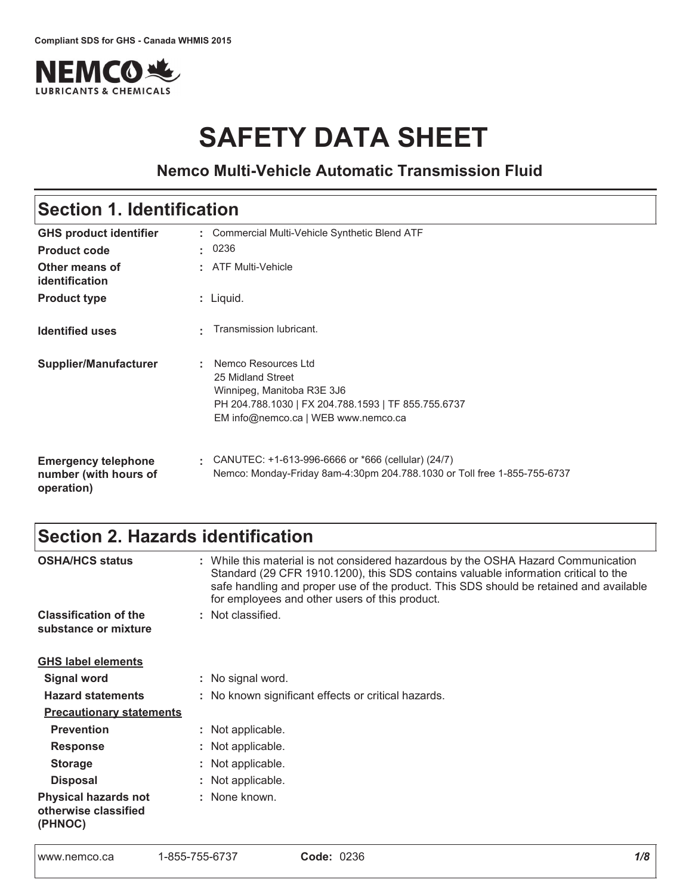

# **SAFETY DATA SHEET**

# **Nemco Multi-Vehicle Automatic Transmission Fluid**

# Section 1. Identification

| <b>GHS product identifier</b><br><b>Product code</b>              | t. | : Commercial Multi-Vehicle Synthetic Blend ATF<br>0236                                                                                                               |
|-------------------------------------------------------------------|----|----------------------------------------------------------------------------------------------------------------------------------------------------------------------|
| Other means of<br>identification                                  |    | : ATF Multi-Vehicle                                                                                                                                                  |
| <b>Product type</b>                                               |    | $:$ Liquid.                                                                                                                                                          |
| <b>Identified uses</b>                                            |    | Transmission lubricant.                                                                                                                                              |
| Supplier/Manufacturer                                             |    | Nemco Resources Ltd<br>25 Midland Street<br>Winnipeg, Manitoba R3E 3J6<br>PH 204.788.1030   FX 204.788.1593   TF 855.755.6737<br>EM info@nemco.ca   WEB www.nemco.ca |
| <b>Emergency telephone</b><br>number (with hours of<br>operation) |    | CANUTEC: +1-613-996-6666 or *666 (cellular) (24/7)<br>Nemco: Monday-Friday 8am-4:30pm 204.788.1030 or Toll free 1-855-755-6737                                       |

# Section 2. Hazards identification

| <b>OSHA/HCS status</b>                                         | : While this material is not considered hazardous by the OSHA Hazard Communication<br>Standard (29 CFR 1910.1200), this SDS contains valuable information critical to the<br>safe handling and proper use of the product. This SDS should be retained and available<br>for employees and other users of this product. |
|----------------------------------------------------------------|-----------------------------------------------------------------------------------------------------------------------------------------------------------------------------------------------------------------------------------------------------------------------------------------------------------------------|
| <b>Classification of the</b>                                   | : Not classified.                                                                                                                                                                                                                                                                                                     |
| substance or mixture                                           |                                                                                                                                                                                                                                                                                                                       |
| <b>GHS label elements</b>                                      |                                                                                                                                                                                                                                                                                                                       |
| <b>Signal word</b>                                             | : No signal word.                                                                                                                                                                                                                                                                                                     |
| <b>Hazard statements</b>                                       | : No known significant effects or critical hazards.                                                                                                                                                                                                                                                                   |
| <b>Precautionary statements</b>                                |                                                                                                                                                                                                                                                                                                                       |
| <b>Prevention</b>                                              | : Not applicable.                                                                                                                                                                                                                                                                                                     |
| <b>Response</b>                                                | : Not applicable.                                                                                                                                                                                                                                                                                                     |
| <b>Storage</b>                                                 | : Not applicable.                                                                                                                                                                                                                                                                                                     |
| <b>Disposal</b>                                                | : Not applicable.                                                                                                                                                                                                                                                                                                     |
| <b>Physical hazards not</b><br>otherwise classified<br>(PHNOC) | : None known.                                                                                                                                                                                                                                                                                                         |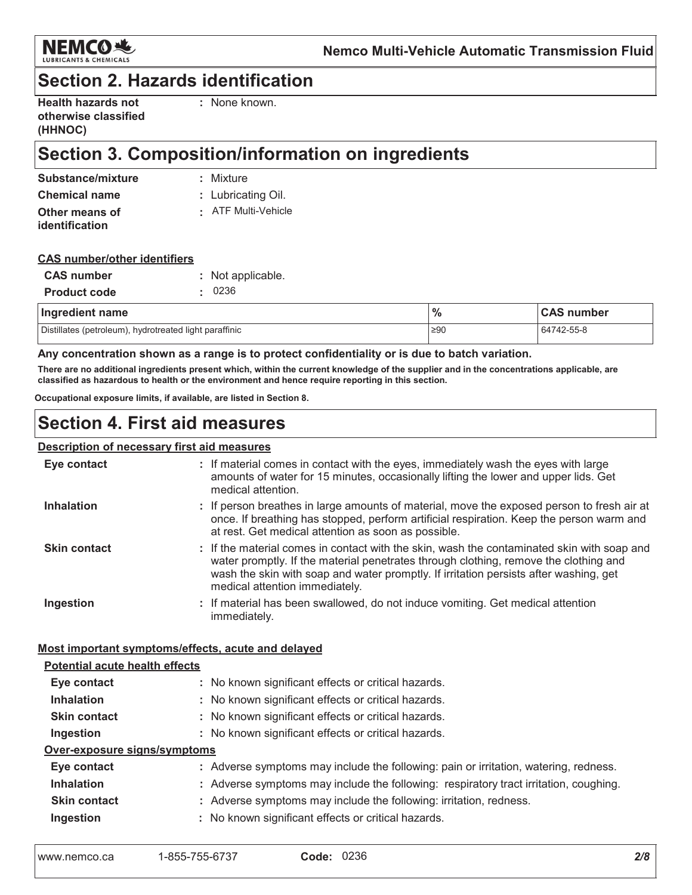

# **Section 2. Hazards identification**

| <b>Health hazards not</b> |  |
|---------------------------|--|
| otherwise classified      |  |
| (HHNOC)                   |  |

: None known.

# Section 3. Composition/information on ingredients

| Substance/mixture    | : Mixture           |
|----------------------|---------------------|
| <b>Chemical name</b> | : Lubricating Oil.  |
| Other means of       | : ATF Multi-Vehicle |
| identification       |                     |

### **CAS number/other identifiers**

| <b>CAS number</b>   | : Not applicable. |
|---------------------|-------------------|
| <b>Product code</b> | .0236             |
|                     |                   |

| Ingredient name                                        | $\frac{0}{6}$ | <b>CAS number</b> |  |  |
|--------------------------------------------------------|---------------|-------------------|--|--|
| Distillates (petroleum), hydrotreated light paraffinic | $\geq 90$     | 64742-55-8        |  |  |

Any concentration shown as a range is to protect confidentiality or is due to batch variation.

There are no additional ingredients present which, within the current knowledge of the supplier and in the concentrations applicable, are classified as hazardous to health or the environment and hence require reporting in this section.

Occupational exposure limits, if available, are listed in Section 8.

# **Section 4. First aid measures**

### **Description of necessary first aid measures**

| Eye contact                                        | : If material comes in contact with the eyes, immediately wash the eyes with large<br>amounts of water for 15 minutes, occasionally lifting the lower and upper lids. Get<br>medical attention.                                                                                                               |
|----------------------------------------------------|---------------------------------------------------------------------------------------------------------------------------------------------------------------------------------------------------------------------------------------------------------------------------------------------------------------|
| <b>Inhalation</b>                                  | : If person breathes in large amounts of material, move the exposed person to fresh air at<br>once. If breathing has stopped, perform artificial respiration. Keep the person warm and<br>at rest. Get medical attention as soon as possible.                                                                 |
| <b>Skin contact</b>                                | : If the material comes in contact with the skin, wash the contaminated skin with soap and<br>water promptly. If the material penetrates through clothing, remove the clothing and<br>wash the skin with soap and water promptly. If irritation persists after washing, get<br>medical attention immediately. |
| Ingestion                                          | : If material has been swallowed, do not induce vomiting. Get medical attention<br>immediately.                                                                                                                                                                                                               |
| Most important symptoms/effects, acute and delayed |                                                                                                                                                                                                                                                                                                               |
| <b>Potential acute health effects</b>              |                                                                                                                                                                                                                                                                                                               |
| Eye contact                                        | : No known significant effects or critical hazards.                                                                                                                                                                                                                                                           |
| <b>Inhalation</b>                                  | : No known significant effects or critical hazards.                                                                                                                                                                                                                                                           |
| <b>Skin contact</b>                                | : No known significant effects or critical hazards.                                                                                                                                                                                                                                                           |
| Ingestion                                          | : No known significant effects or critical hazards.                                                                                                                                                                                                                                                           |
| Over-exposure signs/symptoms                       |                                                                                                                                                                                                                                                                                                               |
| Eye contact                                        | : Adverse symptoms may include the following: pain or irritation, watering, redness.                                                                                                                                                                                                                          |
| <b>Inhalation</b>                                  | : Adverse symptoms may include the following: respiratory tract irritation, coughing.                                                                                                                                                                                                                         |
| <b>Skin contact</b>                                | : Adverse symptoms may include the following: irritation, redness.                                                                                                                                                                                                                                            |
| Ingestion                                          | : No known significant effects or critical hazards.                                                                                                                                                                                                                                                           |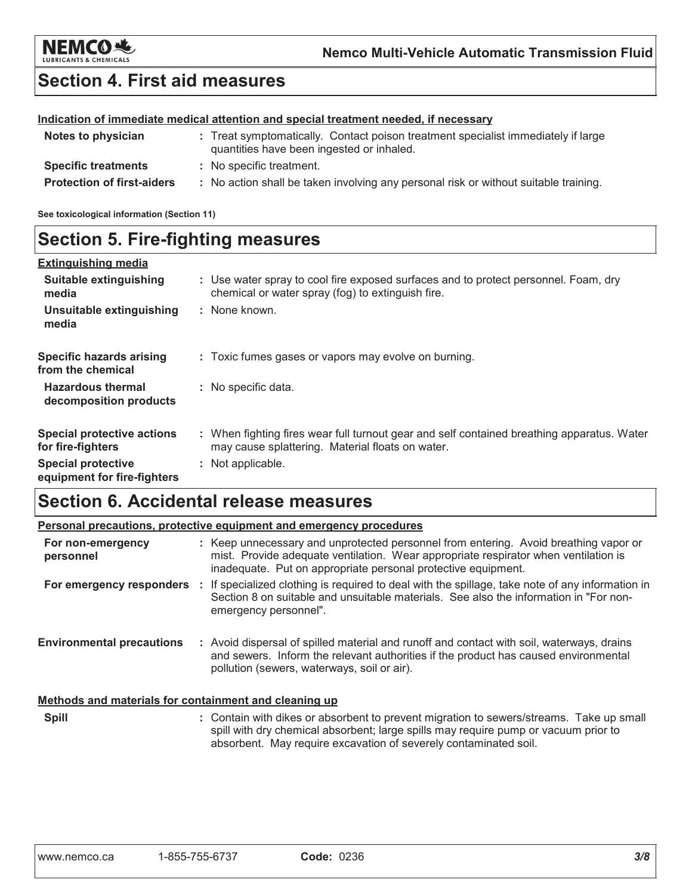

# **Section 4. First aid measures**

### Indication of immediate medical attention and special treatment needed, if necessary

| Notes to physician                | : Treat symptomatically. Contact poison treatment specialist immediately if large<br>quantities have been ingested or inhaled. |
|-----------------------------------|--------------------------------------------------------------------------------------------------------------------------------|
| <b>Specific treatments</b>        | : No specific treatment.                                                                                                       |
| <b>Protection of first-aiders</b> | : No action shall be taken involving any personal risk or without suitable training.                                           |

See toxicological information (Section 11)

# **Section 5. Fire-fighting measures**

| <b>Extinguishing media</b>                               |                                                                                                                                                |
|----------------------------------------------------------|------------------------------------------------------------------------------------------------------------------------------------------------|
| Suitable extinguishing<br>media                          | : Use water spray to cool fire exposed surfaces and to protect personnel. Foam, dry<br>chemical or water spray (fog) to extinguish fire.       |
| Unsuitable extinguishing<br>media                        | : None known.                                                                                                                                  |
| <b>Specific hazards arising</b><br>from the chemical     | : Toxic fumes gases or vapors may evolve on burning.                                                                                           |
| <b>Hazardous thermal</b><br>decomposition products       | : No specific data.                                                                                                                            |
| <b>Special protective actions</b><br>for fire-fighters   | : When fighting fires wear full turnout gear and self contained breathing apparatus. Water<br>may cause splattering. Material floats on water. |
| <b>Special protective</b><br>equipment for fire-fighters | : Not applicable.                                                                                                                              |

# **Section 6. Accidental release measures**

|                                                       | <b>Personal precautions, protective equipment and emergency procedures</b>                                                                                                                                                                         |
|-------------------------------------------------------|----------------------------------------------------------------------------------------------------------------------------------------------------------------------------------------------------------------------------------------------------|
| For non-emergency<br>personnel                        | : Keep unnecessary and unprotected personnel from entering. Avoid breathing vapor or<br>mist. Provide adequate ventilation. Wear appropriate respirator when ventilation is<br>inadequate. Put on appropriate personal protective equipment.       |
|                                                       | For emergency responders : If specialized clothing is required to deal with the spillage, take note of any information in<br>Section 8 on suitable and unsuitable materials. See also the information in "For non-<br>emergency personnel".        |
| <b>Environmental precautions</b>                      | : Avoid dispersal of spilled material and runoff and contact with soil, waterways, drains<br>and sewers. Inform the relevant authorities if the product has caused environmental<br>pollution (sewers, waterways, soil or air).                    |
| Methods and materials for containment and cleaning up |                                                                                                                                                                                                                                                    |
| <b>Spill</b>                                          | : Contain with dikes or absorbent to prevent migration to sewers/streams. Take up small<br>spill with dry chemical absorbent; large spills may require pump or vacuum prior to<br>absorbent. May require excavation of severely contaminated soil. |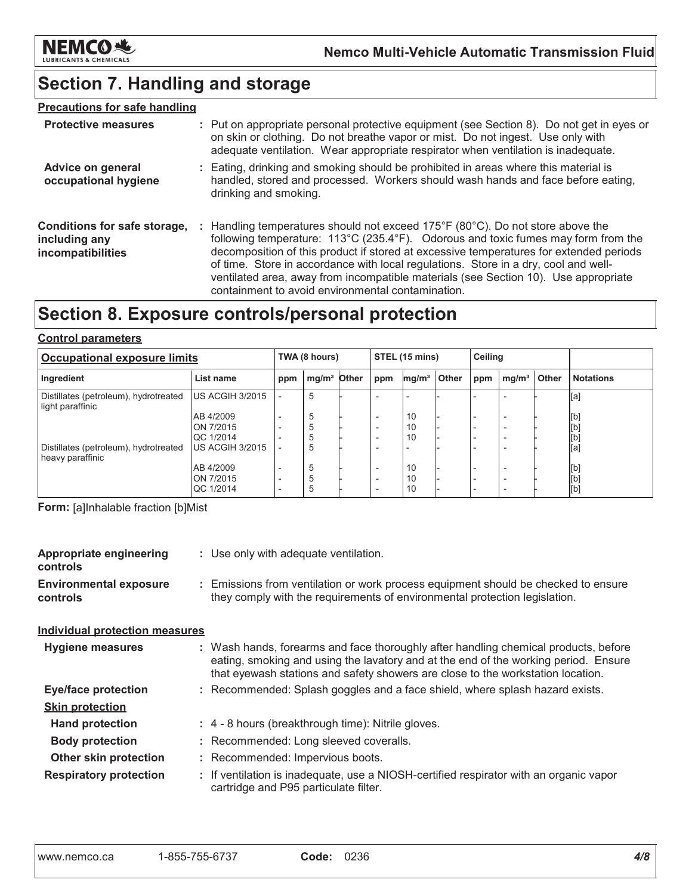

# Section 7. Handling and storage

### **Precautions for safe handling**

| <b>Protective measures</b>                                         | : Put on appropriate personal protective equipment (see Section 8). Do not get in eyes or<br>on skin or clothing. Do not breathe vapor or mist. Do not ingest. Use only with<br>adequate ventilation. Wear appropriate respirator when ventilation is inadequate.                                                                                                                                                                                                                                                |
|--------------------------------------------------------------------|------------------------------------------------------------------------------------------------------------------------------------------------------------------------------------------------------------------------------------------------------------------------------------------------------------------------------------------------------------------------------------------------------------------------------------------------------------------------------------------------------------------|
| <b>Advice on general</b><br>occupational hygiene                   | : Eating, drinking and smoking should be prohibited in areas where this material is<br>handled, stored and processed. Workers should wash hands and face before eating,<br>drinking and smoking.                                                                                                                                                                                                                                                                                                                 |
| Conditions for safe storage,<br>including any<br>incompatibilities | : Handling temperatures should not exceed $175^{\circ}F(80^{\circ}C)$ . Do not store above the<br>following temperature: 113°C (235.4°F). Odorous and toxic fumes may form from the<br>decomposition of this product if stored at excessive temperatures for extended periods<br>of time. Store in accordance with local regulations. Store in a dry, cool and well-<br>ventilated area, away from incompatible materials (see Section 10). Use appropriate<br>containment to avoid environmental contamination. |

# Section 8. Exposure controls/personal protection

### **Control parameters**

| <b>Occupational exposure limits</b>                       |                  |     | TWA (8 hours)           |  |                          | STEL (15 mins)    |       |     | Ceiling                  |       |                  |
|-----------------------------------------------------------|------------------|-----|-------------------------|--|--------------------------|-------------------|-------|-----|--------------------------|-------|------------------|
| Ingredient                                                | List name        | ppm | mg/m <sup>3</sup> Other |  | ppm                      | mg/m <sup>3</sup> | Other | ppm | mg/m <sup>3</sup>        | Other | <b>Notations</b> |
| Distillates (petroleum), hydrotreated<br>light paraffinic | US ACGIH 3/2015  |     | 5                       |  | $\overline{\phantom{0}}$ |                   |       |     |                          |       | [a]              |
|                                                           | AB 4/2009        |     | 5                       |  | $\overline{\phantom{0}}$ | 10                |       |     | <b>100</b>               |       | [b]              |
|                                                           | ON 7/2015        |     | 5                       |  |                          | 10                |       |     | ۰.                       |       | [b]              |
|                                                           | QC 1/2014        |     | 5                       |  | $\overline{\phantom{0}}$ | 10                |       |     | -                        |       | [b]              |
| Distillates (petroleum), hydrotreated<br>heavy paraffinic | US ACGIH 3/2015  |     | 5                       |  | $\overline{\phantom{0}}$ |                   |       |     |                          |       | [a]              |
|                                                           | AB 4/2009        |     | 5                       |  | $\overline{\phantom{0}}$ | 10                |       |     |                          |       | [b]              |
|                                                           | ON 7/2015        |     | 5                       |  | $\overline{\phantom{0}}$ | 10                |       |     | $\overline{\phantom{a}}$ |       | [b]              |
|                                                           | <b>QC 1/2014</b> |     | 5                       |  | $\overline{\phantom{0}}$ | 10                |       |     |                          |       | [b]              |

Form: [a]Inhalable fraction [b]Mist

| <b>Appropriate engineering</b><br><b>controls</b> | : Use only with adequate ventilation.                                                                                                                                                                                                                         |  |  |
|---------------------------------------------------|---------------------------------------------------------------------------------------------------------------------------------------------------------------------------------------------------------------------------------------------------------------|--|--|
| <b>Environmental exposure</b><br>controls         | : Emissions from ventilation or work process equipment should be checked to ensure<br>they comply with the requirements of environmental protection legislation.                                                                                              |  |  |
| <b>Individual protection measures</b>             |                                                                                                                                                                                                                                                               |  |  |
| Hygiene measures                                  | : Wash hands, forearms and face thoroughly after handling chemical products, before<br>eating, smoking and using the lavatory and at the end of the working period. Ensure<br>that eyewash stations and safety showers are close to the workstation location. |  |  |
| <b>Eye/face protection</b>                        | : Recommended: Splash goggles and a face shield, where splash hazard exists.                                                                                                                                                                                  |  |  |
| <b>Skin protection</b>                            |                                                                                                                                                                                                                                                               |  |  |
| <b>Hand protection</b>                            | : 4 - 8 hours (breakthrough time): Nitrile gloves.                                                                                                                                                                                                            |  |  |
| <b>Body protection</b>                            | : Recommended: Long sleeved coveralls.                                                                                                                                                                                                                        |  |  |
| <b>Other skin protection</b>                      | : Recommended: Impervious boots.                                                                                                                                                                                                                              |  |  |
| <b>Respiratory protection</b>                     | : If ventilation is inadequate, use a NIOSH-certified respirator with an organic vapor<br>cartridge and P95 particulate filter.                                                                                                                               |  |  |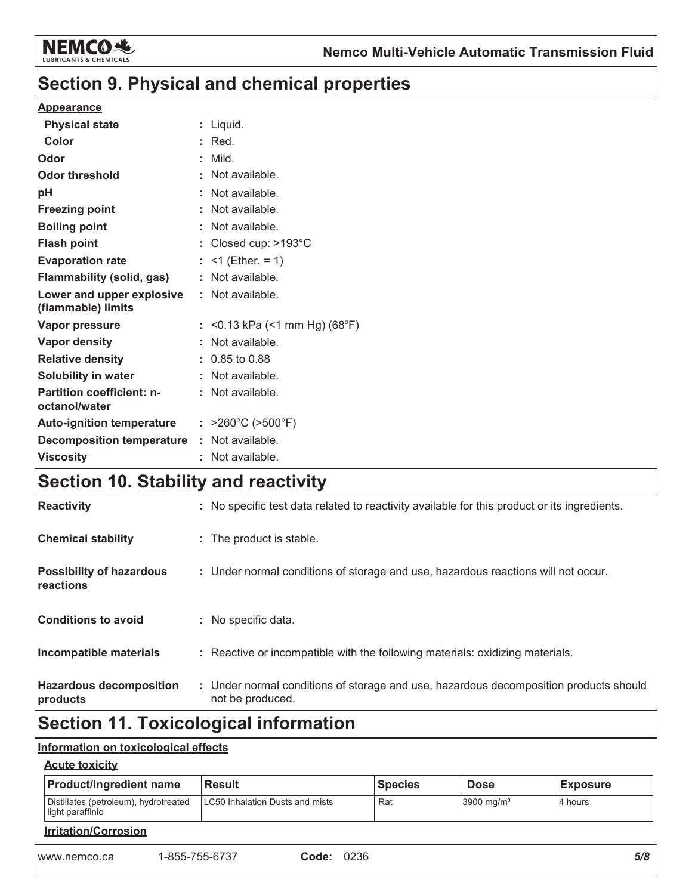

# Section 9. Physical and chemical properties

### **Appearance**

| <b>Physical state</b>                             | : Liquid.                              |
|---------------------------------------------------|----------------------------------------|
| Color                                             | $:$ Red.                               |
| Odor                                              | : Mild.                                |
| <b>Odor threshold</b>                             | $\therefore$ Not available.            |
| pH                                                | : Not available.                       |
| <b>Freezing point</b>                             | : Not available.                       |
| <b>Boiling point</b>                              | : Not available.                       |
| <b>Flash point</b>                                | : Closed cup: >193°C                   |
| <b>Evaporation rate</b>                           | : <1 (Ether. = 1)                      |
| <b>Flammability (solid, gas)</b>                  | : Not available.                       |
| Lower and upper explosive<br>(flammable) limits   | : Not available.                       |
| Vapor pressure                                    | : < 0.13 kPa (< 1 mm Hg) (68°F)        |
| Vapor density                                     | : Not available.                       |
| <b>Relative density</b>                           | $: 0.85$ to 0.88                       |
| <b>Solubility in water</b>                        | : Not available.                       |
| <b>Partition coefficient: n-</b><br>octanol/water | : Not available.                       |
| <b>Auto-ignition temperature</b>                  | : $>260^{\circ}$ C ( $>500^{\circ}$ F) |
| <b>Decomposition temperature</b>                  | : Not available.                       |
| <b>Viscosity</b>                                  | : Not available.                       |
|                                                   |                                        |

# Section 10. Stability and reactivity

| <b>Reactivity</b>                            | : No specific test data related to reactivity available for this product or its ingredients.              |
|----------------------------------------------|-----------------------------------------------------------------------------------------------------------|
| <b>Chemical stability</b>                    | : The product is stable.                                                                                  |
| <b>Possibility of hazardous</b><br>reactions | : Under normal conditions of storage and use, hazardous reactions will not occur.                         |
| <b>Conditions to avoid</b>                   | : No specific data.                                                                                       |
| Incompatible materials                       | : Reactive or incompatible with the following materials: oxidizing materials.                             |
| <b>Hazardous decomposition</b><br>products   | : Under normal conditions of storage and use, hazardous decomposition products should<br>not be produced. |
|                                              |                                                                                                           |

# **Section 11. Toxicological information**

### Information on toxicological effects

### **Acute toxicity**

| <b>Product/ingredient name</b>                            | <b>Result</b>  |                                 | <b>Species</b> | <b>Dose</b>            | <b>Exposure</b> |     |
|-----------------------------------------------------------|----------------|---------------------------------|----------------|------------------------|-----------------|-----|
| Distillates (petroleum), hydrotreated<br>light paraffinic |                | LC50 Inhalation Dusts and mists |                | 3900 mg/m <sup>3</sup> | 4 hours         |     |
| <b>Irritation/Corrosion</b>                               |                |                                 |                |                        |                 |     |
| www.nemco.ca                                              | 1-855-755-6737 | Code:                           | 0236           |                        |                 | 5/8 |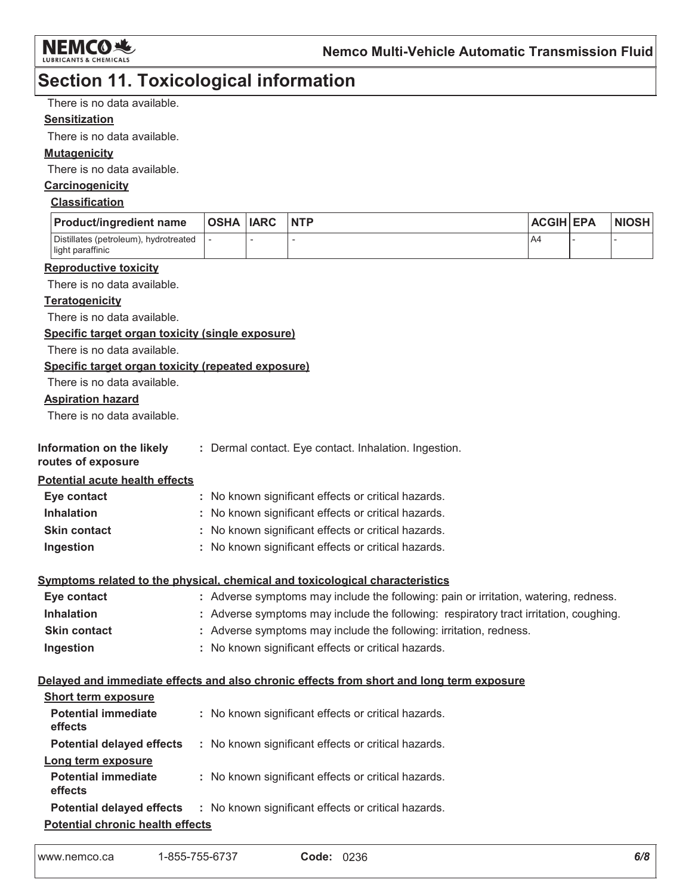

# **Section 11. Toxicological information**

There is no data available.

### **Sensitization**

There is no data available.

### **Mutagenicity**

There is no data available.

### Carcinogenicity

### **Classification**

| <b>Product/ingredient name</b>                            | <b>OSHA IARC</b> | <b>NTP</b> | <b>ACGIH EPA</b> | <b>NIOSH</b> |
|-----------------------------------------------------------|------------------|------------|------------------|--------------|
| Distillates (petroleum), hydrotreated<br>light paraffinic |                  |            | A4               |              |

#### **Reproductive toxicity**

There is no data available.

### **Teratogenicity**

There is no data available.

### Specific target organ toxicity (single exposure)

There is no data available.

### Specific target organ toxicity (repeated exposure)

There is no data available.

### **Aspiration hazard**

There is no data available.

| Information on the likely |  | : Dermal contact. Eye contact. Inhalation. Ingestion |  |
|---------------------------|--|------------------------------------------------------|--|
|                           |  |                                                      |  |

#### routes of exposure

**Potential acute health effects** 

| Eye contact         | : No known significant effects or critical hazards. |
|---------------------|-----------------------------------------------------|
| <b>Inhalation</b>   | : No known significant effects or critical hazards. |
| <b>Skin contact</b> | : No known significant effects or critical hazards. |
| Ingestion           | : No known significant effects or critical hazards. |

### Symptoms related to the physical, chemical and toxicological characteristics

| Eye contact         | : Adverse symptoms may include the following: pain or irritation, watering, redness.  |
|---------------------|---------------------------------------------------------------------------------------|
| <b>Inhalation</b>   | : Adverse symptoms may include the following: respiratory tract irritation, coughing. |
| <b>Skin contact</b> | : Adverse symptoms may include the following: irritation, redness.                    |
| Ingestion           | : No known significant effects or critical hazards.                                   |

### Delayed and immediate effects and also chronic effects from short and long term exposure

| <b>Short term exposure</b>              |                                                                                      |
|-----------------------------------------|--------------------------------------------------------------------------------------|
| <b>Potential immediate</b><br>effects   | : No known significant effects or critical hazards.                                  |
| <b>Potential delayed effects</b>        | : No known significant effects or critical hazards.                                  |
| Long term exposure                      |                                                                                      |
| <b>Potential immediate</b><br>effects   | : No known significant effects or critical hazards.                                  |
|                                         | <b>Potential delayed effects : No known significant effects or critical hazards.</b> |
| <b>Potential chronic health effects</b> |                                                                                      |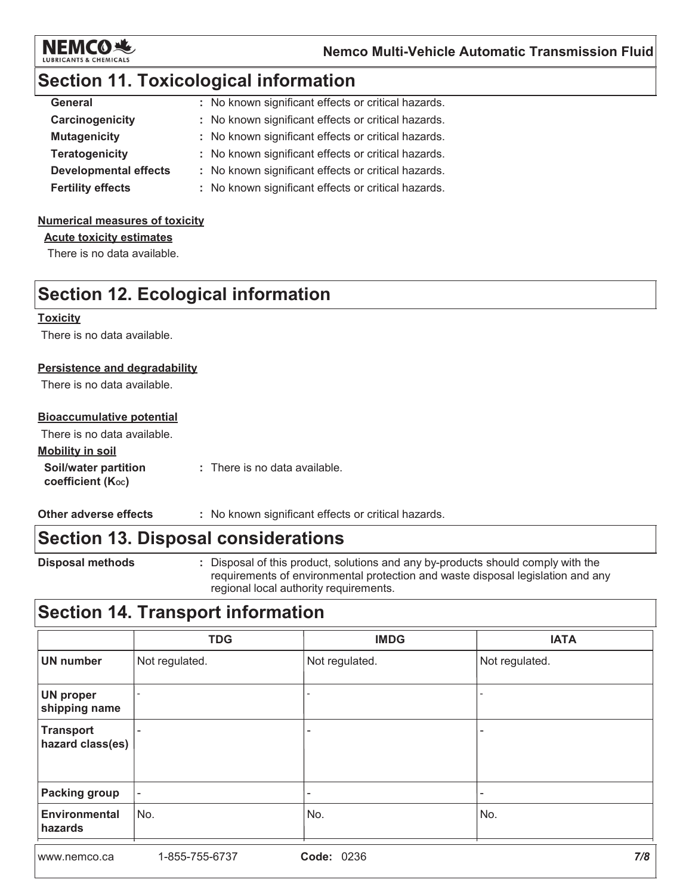

# **Section 11. Toxicological information**

| : No known significant effects or critical hazards. |
|-----------------------------------------------------|
| : No known significant effects or critical hazards. |
| : No known significant effects or critical hazards. |
| : No known significant effects or critical hazards. |
| : No known significant effects or critical hazards. |
| : No known significant effects or critical hazards. |
|                                                     |

### **Numerical measures of toxicity**

**Acute toxicity estimates** 

There is no data available.

# **Section 12. Ecological information**

#### **Toxicity**

There is no data available.

### **Persistence and degradability**

There is no data available.

### **Bioaccumulative potential**

There is no data available.

### **Mobility in soil**

Soil/water partition : There is no data available. coefficient (Koc)

Other adverse effects : No known significant effects or critical hazards.

## **Section 13. Disposal considerations**

**Disposal methods** 

: Disposal of this product, solutions and any by-products should comply with the requirements of environmental protection and waste disposal legislation and any regional local authority requirements.

# **Section 14. Transport information**

|                                      | <b>TDG</b>               | <b>IMDG</b>              | <b>IATA</b>    |
|--------------------------------------|--------------------------|--------------------------|----------------|
| <b>UN number</b>                     | Not regulated.           | Not regulated.           | Not regulated. |
| <b>UN proper</b><br>shipping name    |                          |                          |                |
| <b>Transport</b><br>hazard class(es) |                          | $\overline{\phantom{a}}$ |                |
| <b>Packing group</b>                 | $\overline{\phantom{a}}$ | -                        | -              |
| <b>Environmental</b><br>hazards      | No.                      | No.                      | No.            |